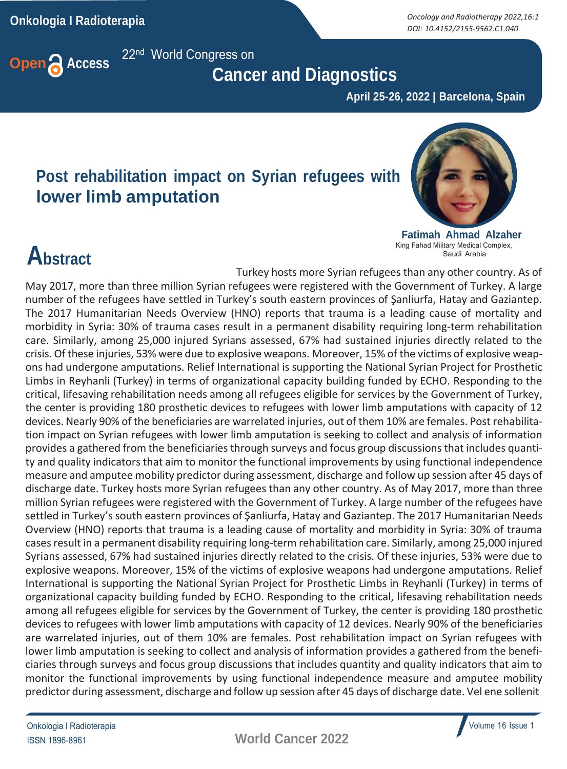**Onkologia I Radioterapia** *Oncology and Radiotherapy 2022,16:1 DOI: 10.4152/2155-9562.C1.040*



 **Cancer and Diagnostics**

 **April 25-26, 2022 | Barcelona, Spain**

#### **Post rehabilitation impact on Syrian refugees with lower limb amputation**



**Fatimah Ahmad Alzaher** King Fahad Military Medical Complex, Saudi Arabia

### **Abstract**

Turkey hosts more Syrian refugees than any other country. As of May 2017, more than three million Syrian refugees were registered with the Government of Turkey. A large number of the refugees have settled in Turkey's south eastern provinces of Şanliurfa, Hatay and Gaziantep. The 2017 Humanitarian Needs Overview (HNO) reports that trauma is a leading cause of mortality and morbidity in Syria: 30% of trauma cases result in a permanent disability requiring long-term rehabilitation care. Similarly, among 25,000 injured Syrians assessed, 67% had sustained injuries directly related to the crisis. Of these injuries, 53% were due to explosive weapons. Moreover, 15% of the victims of explosive weapons had undergone amputations. Relief International is supporting the National Syrian Project for Prosthetic Limbs in Reyhanli (Turkey) in terms of organizational capacity building funded by ECHO. Responding to the critical, lifesaving rehabilitation needs among all refugees eligible for services by the Government of Turkey, the center is providing 180 prosthetic devices to refugees with lower limb amputations with capacity of 12 devices. Nearly 90% of the beneficiaries are warrelated injuries, out of them 10% are females. Post rehabilitation impact on Syrian refugees with lower limb amputation is seeking to collect and analysis of information provides a gathered from the beneficiaries through surveys and focus group discussions that includes quantity and quality indicators that aim to monitor the functional improvements by using functional independence measure and amputee mobility predictor during assessment, discharge and follow up session after 45 days of discharge date. Turkey hosts more Syrian refugees than any other country. As of May 2017, more than three million Syrian refugees were registered with the Government of Turkey. A large number of the refugees have settled in Turkey's south eastern provinces of Şanliurfa, Hatay and Gaziantep. The 2017 Humanitarian Needs Overview (HNO) reports that trauma is a leading cause of mortality and morbidity in Syria: 30% of trauma casesresult in a permanent disability requiring long-term rehabilitation care. Similarly, among 25,000 injured Syrians assessed, 67% had sustained injuries directly related to the crisis. Of these injuries, 53% were due to explosive weapons. Moreover, 15% of the victims of explosive weapons had undergone amputations. Relief International is supporting the National Syrian Project for Prosthetic Limbs in Reyhanli (Turkey) in terms of organizational capacity building funded by ECHO. Responding to the critical, lifesaving rehabilitation needs among all refugees eligible for services by the Government of Turkey, the center is providing 180 prosthetic devices to refugees with lower limb amputations with capacity of 12 devices. Nearly 90% of the beneficiaries are warrelated injuries, out of them 10% are females. Post rehabilitation impact on Syrian refugees with lower limb amputation is seeking to collect and analysis of information provides a gathered from the beneficiaries through surveys and focus group discussions that includes quantity and quality indicators that aim to monitor the functional improvements by using functional independence measure and amputee mobility predictor during assessment, discharge and follow up session after 45 days of discharge date. Vel ene sollenit

ISSN 1896-8961 **World Cancer 2022**